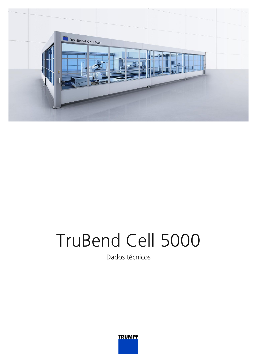

## TruBend Cell 5000

Dados técnicos

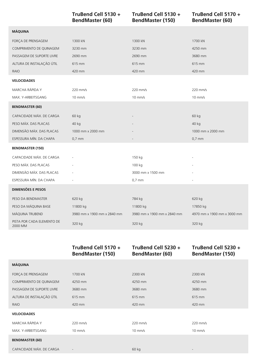|                                       | TruBend Cell 5130 +<br><b>BendMaster (60)</b> | TruBend Cell 5130 +<br><b>BendMaster (150)</b> | TruBend Cell 5170 +<br><b>BendMaster (60)</b> |
|---------------------------------------|-----------------------------------------------|------------------------------------------------|-----------------------------------------------|
| <b>MÁQUINA</b>                        |                                               |                                                |                                               |
| FORÇA DE PRENSAGEM                    | 1300 kN                                       | 1300 kN                                        | 1700 kN                                       |
| COMPRIMENTO DE QUINAGEM               | 3230 mm                                       | 3230 mm                                        | 4250 mm                                       |
| PASSAGEM DE SUPORTE LIVRE             | 2690 mm                                       | 2690 mm                                        | 3680 mm                                       |
| ALTURA DE INSTALAÇÃO ÚTIL             | 615 mm                                        | 615 mm                                         | 615 mm                                        |
| <b>RAIO</b>                           | 420 mm                                        | 420 mm                                         | 420 mm                                        |
| <b>VELOCIDADES</b>                    |                                               |                                                |                                               |
| MARCHA RÁPIDA Y                       | 220 mm/s                                      | $220$ mm/s                                     | 220 mm/s                                      |
| MAX. Y-ARBEITSGANG                    | $10$ mm/s                                     | $10$ mm/s                                      | $10$ mm/s                                     |
| <b>BENDMASTER (60)</b>                |                                               |                                                |                                               |
| CAPACIDADE MÁX. DE CARGA              | 60 kg                                         |                                                | 60 kg                                         |
| PESO MÁX. DAS PLACAS                  | 40 kg                                         |                                                | 40 kg                                         |
| DIMENSÃO MÁX. DAS PLACAS              | 1000 mm x 2000 mm                             |                                                | 1000 mm x 2000 mm                             |
| ESPESSURA MÍN. DA CHAPA               | $0,7$ mm                                      |                                                | $0,7$ mm                                      |
| <b>BENDMASTER (150)</b>               |                                               |                                                |                                               |
| CAPACIDADE MÁX. DE CARGA              |                                               | 150 kg                                         |                                               |
| PESO MÁX. DAS PLACAS                  |                                               | 100 kg                                         |                                               |
| DIMENSÃO MÁX. DAS PLACAS              |                                               | 3000 mm x 1500 mm                              |                                               |
| ESPESSURA MÍN. DA CHAPA               |                                               | $0,7$ mm                                       |                                               |
| <b>DIMENSÕES E PESOS</b>              |                                               |                                                |                                               |
| PESO DA BENDMASTER                    | 620 kg                                        | 784 kg                                         | 620 kg                                        |
| PESO DA MÁQUINA BASE                  | 11800 kg                                      | 11800 kg                                       | 17850 kg                                      |
| MÁQUINA TRUBEND                       | 3980 mm x 1900 mm x 2840 mm                   | 3980 mm x 1900 mm x 2840 mm                    | 4970 mm x 1900 mm x 3000 mm                   |
| PISTA POR CADA ELEMENTO DE<br>2000 MM | 320 kg                                        | 320 kg                                         | 320 kg                                        |

|                           | TruBend Cell 5170 +<br><b>BendMaster (150)</b> | TruBend Cell 5230 +<br><b>BendMaster (60)</b> | TruBend Cell 5230 +<br><b>BendMaster (150)</b> |
|---------------------------|------------------------------------------------|-----------------------------------------------|------------------------------------------------|
| <b>MÁQUINA</b>            |                                                |                                               |                                                |
| FORÇA DE PRENSAGEM        | 1700 kN                                        | 2300 kN                                       | 2300 kN                                        |
| COMPRIMENTO DE QUINAGEM   | 4250 mm                                        | 4250 mm                                       | 4250 mm                                        |
| PASSAGEM DE SUPORTE LIVRE | 3680 mm                                        | 3680 mm                                       | 3680 mm                                        |
| ALTURA DE INSTALAÇÃO ÚTIL | 615 mm                                         | 615 mm                                        | 615 mm                                         |
| RAIO                      | 420 mm                                         | 420 mm                                        | 420 mm                                         |
| <b>VELOCIDADES</b>        |                                                |                                               |                                                |
| MARCHA RÁPIDA Y           | 220 mm/s                                       | $220$ mm/s                                    | 220 mm/s                                       |
| MAX. Y-ARBEITSGANG        | $10$ mm/s                                      | $10$ mm/s                                     | $10$ mm/s                                      |
| <b>BENDMASTER (60)</b>    |                                                |                                               |                                                |
| CAPACIDADE MÁX. DE CARGA  |                                                | 60 kg                                         |                                                |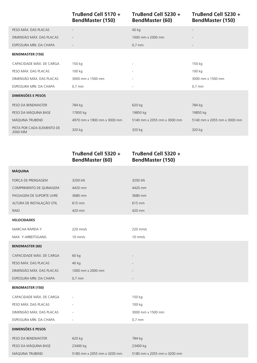**TruBend Cell 5170 + BendMaster (150)**

## **TruBend Cell 5230 + BendMaster (60)**

**TruBend Cell 5230 + BendMaster (150)**

| PESO MÁX. DAS PLACAS                  |                             | 40 kg                       |                             |
|---------------------------------------|-----------------------------|-----------------------------|-----------------------------|
| DIMENSÃO MÁX. DAS PLACAS              | $\overline{\phantom{a}}$    | 1000 mm x 2000 mm           | $\overline{\phantom{a}}$    |
| ESPESSURA MÍN. DA CHAPA               | $\overline{\phantom{a}}$    | $0,7$ mm                    | $\overline{\phantom{a}}$    |
| <b>BENDMASTER (150)</b>               |                             |                             |                             |
| CAPACIDADE MÁX. DE CARGA              | 150 kg                      | $\overline{\phantom{a}}$    | 150 kg                      |
| PESO MÁX. DAS PLACAS                  | 100 kg                      | $\sim$                      | 100 kg                      |
| DIMENSÃO MÁX. DAS PLACAS              | 3000 mm x 1500 mm           | $\overline{\phantom{a}}$    | 3000 mm x 1500 mm           |
| ESPESSURA MÍN. DA CHAPA               | $0.7$ mm                    | $\overline{\phantom{a}}$    | $0.7$ mm                    |
| <b>DIMENSÕES E PESOS</b>              |                             |                             |                             |
| PESO DA BENDMASTER                    | 784 kg                      | 620 kg                      | 784 kg                      |
| PESO DA MÁQUINA BASE                  | 17850 kg                    | 19850 kg                    | 19850 kg                    |
| MÁQUINA TRUBEND                       | 4970 mm x 1900 mm x 3000 mm | 5140 mm x 2055 mm x 3000 mm | 5140 mm x 2055 mm x 3000 mm |
| PISTA POR CADA ELEMENTO DE<br>2000 MM | 320 kg                      | 320 kg                      | 320 kg                      |

|                           | TruBend Cell 5320 +<br><b>BendMaster (60)</b> | TruBend Cell 5320 +<br><b>BendMaster (150)</b> |
|---------------------------|-----------------------------------------------|------------------------------------------------|
| <b>MÁQUINA</b>            |                                               |                                                |
| FORÇA DE PRENSAGEM        | 3200 kN                                       | 3200 kN                                        |
| COMPRIMENTO DE QUINAGEM   | 4420 mm                                       | 4420 mm                                        |
| PASSAGEM DE SUPORTE LIVRE | 3680 mm                                       | 3680 mm                                        |
| ALTURA DE INSTALAÇÃO ÚTIL | 615 mm                                        | 615 mm                                         |
| <b>RAIO</b>               | 420 mm                                        | 420 mm                                         |
| <b>VELOCIDADES</b>        |                                               |                                                |
| MARCHA RÁPIDA Y           | 220 mm/s                                      | 220 mm/s                                       |
| MAX. Y-ARBEITSGANG        | $10$ mm/s                                     | $10$ mm/s                                      |
| <b>BENDMASTER (60)</b>    |                                               |                                                |
| CAPACIDADE MÁX. DE CARGA  | 60 kg                                         |                                                |
| PESO MÁX. DAS PLACAS      | 40 kg                                         |                                                |
| DIMENSÃO MÁX. DAS PLACAS  | 1000 mm x 2000 mm                             |                                                |
| ESPESSURA MÍN. DA CHAPA   | $0,7$ mm                                      |                                                |
| <b>BENDMASTER (150)</b>   |                                               |                                                |
| CAPACIDADE MÁX. DE CARGA  |                                               | 150 kg                                         |
| PESO MÁX. DAS PLACAS      |                                               | 100 kg                                         |
| DIMENSÃO MÁX. DAS PLACAS  |                                               | 3000 mm x 1500 mm                              |
| ESPESSURA MÍN. DA CHAPA   |                                               | $0,7$ mm                                       |
| <b>DIMENSÕES E PESOS</b>  |                                               |                                                |
| PESO DA BENDMASTER        | 620 kg                                        | 784 kg                                         |
| PESO DA MÁQUINA BASE      | 23400 kg                                      | 23400 kg                                       |
| MÁQUINA TRUBEND           | 5180 mm x 2055 mm x 3200 mm                   | 5180 mm x 2055 mm x 3200 mm                    |